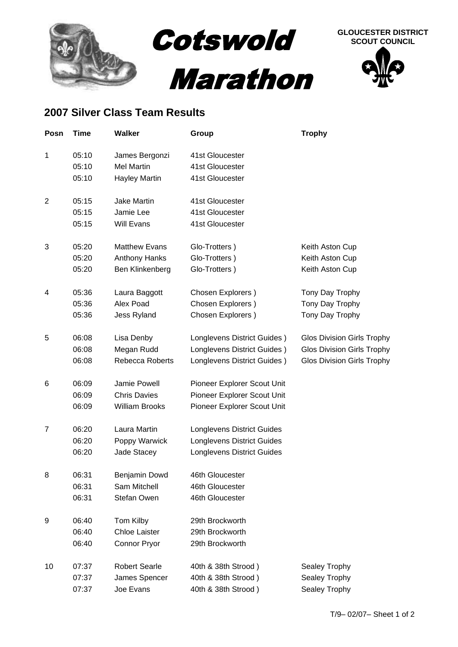





## **2007 Silver Class Team Results**

| Posn           | Time  | <b>Walker</b>         | Group                             | <b>Trophy</b>                     |
|----------------|-------|-----------------------|-----------------------------------|-----------------------------------|
| 1              | 05:10 | James Bergonzi        | 41st Gloucester                   |                                   |
|                | 05:10 | <b>Mel Martin</b>     | 41st Gloucester                   |                                   |
|                | 05:10 | <b>Hayley Martin</b>  | 41st Gloucester                   |                                   |
| $\overline{2}$ | 05:15 | <b>Jake Martin</b>    | 41st Gloucester                   |                                   |
|                | 05:15 | Jamie Lee             | 41st Gloucester                   |                                   |
|                | 05:15 | <b>Will Evans</b>     | 41st Gloucester                   |                                   |
| 3              | 05:20 | <b>Matthew Evans</b>  | Glo-Trotters)                     | Keith Aston Cup                   |
|                | 05:20 | Anthony Hanks         | Glo-Trotters)                     | Keith Aston Cup                   |
|                | 05:20 | Ben Klinkenberg       | Glo-Trotters)                     | Keith Aston Cup                   |
| 4              | 05:36 | Laura Baggott         | Chosen Explorers)                 | Tony Day Trophy                   |
|                | 05:36 | Alex Poad             | Chosen Explorers)                 | Tony Day Trophy                   |
|                | 05:36 | Jess Ryland           | Chosen Explorers)                 | Tony Day Trophy                   |
| 5              | 06:08 | Lisa Denby            | Longlevens District Guides)       | <b>Glos Division Girls Trophy</b> |
|                | 06:08 | Megan Rudd            | Longlevens District Guides)       | <b>Glos Division Girls Trophy</b> |
|                | 06:08 | Rebecca Roberts       | Longlevens District Guides)       | <b>Glos Division Girls Trophy</b> |
| 6              | 06:09 | Jamie Powell          | Pioneer Explorer Scout Unit       |                                   |
|                | 06:09 | <b>Chris Davies</b>   | Pioneer Explorer Scout Unit       |                                   |
|                | 06:09 | <b>William Brooks</b> | Pioneer Explorer Scout Unit       |                                   |
| 7              | 06:20 | Laura Martin          | <b>Longlevens District Guides</b> |                                   |
|                | 06:20 | Poppy Warwick         | <b>Longlevens District Guides</b> |                                   |
|                | 06:20 | Jade Stacey           | <b>Longlevens District Guides</b> |                                   |
| 8              | 06:31 | Benjamin Dowd         | 46th Gloucester                   |                                   |
|                | 06:31 | Sam Mitchell          | 46th Gloucester                   |                                   |
|                | 06:31 | Stefan Owen           | 46th Gloucester                   |                                   |
| 9              | 06:40 | Tom Kilby             | 29th Brockworth                   |                                   |
|                | 06:40 | <b>Chloe Laister</b>  | 29th Brockworth                   |                                   |
|                | 06:40 | <b>Connor Pryor</b>   | 29th Brockworth                   |                                   |
| 10             | 07:37 | <b>Robert Searle</b>  | 40th & 38th Strood)               | Sealey Trophy                     |
|                | 07:37 | James Spencer         | 40th & 38th Strood)               | Sealey Trophy                     |
|                | 07:37 | Joe Evans             | 40th & 38th Strood)               | Sealey Trophy                     |